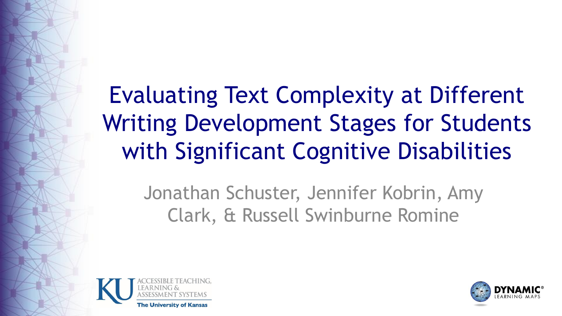### Evaluating Text Complexity at Different Writing Development Stages for Students with Significant Cognitive Disabilities

Jonathan Schuster, Jennifer Kobrin, Amy Clark, & Russell Swinburne Romine



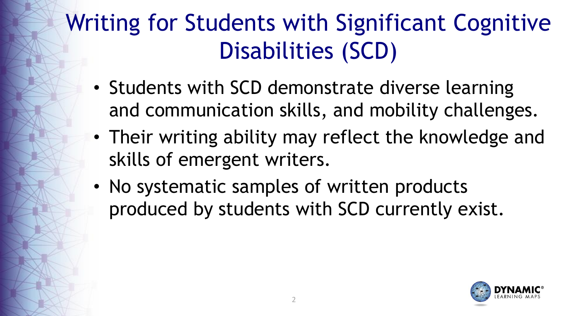#### Writing for Students with Significant Cognitive Disabilities (SCD)

- Students with SCD demonstrate diverse learning and communication skills, and mobility challenges.
- Their writing ability may reflect the knowledge and skills of emergent writers.
- No systematic samples of written products produced by students with SCD currently exist.

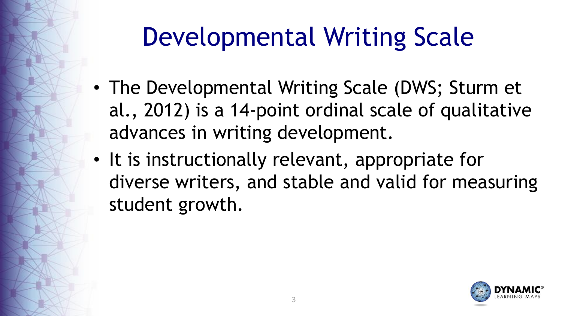### Developmental Writing Scale

- The Developmental Writing Scale (DWS; Sturm et al., 2012) is a 14-point ordinal scale of qualitative advances in writing development.
- It is instructionally relevant, appropriate for diverse writers, and stable and valid for measuring student growth.

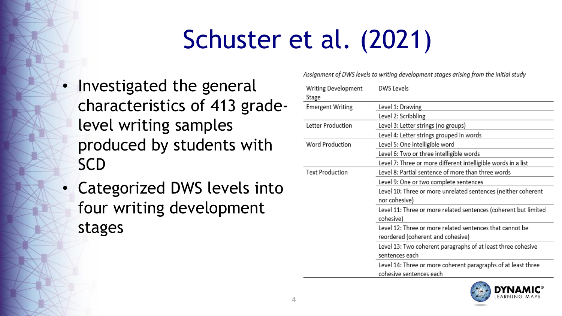### Schuster et al. (2021)

- Investigated the general characteristics of 413 gradelevel writing samples produced by students with **SCD**
- **Categorized DWS levels into** four writing development stages

Assignment of DWS levels to writing development stages arising from the initial study

| Writing Development<br>Stage | <b>DWS Levels</b>                                                                             |
|------------------------------|-----------------------------------------------------------------------------------------------|
| <b>Emergent Writing</b>      | Level 1: Drawing                                                                              |
|                              | Level 2: Scribbling                                                                           |
| Letter Production            | Level 3: Letter strings (no groups)                                                           |
|                              | Level 4: Letter strings grouped in words                                                      |
| <b>Word Production</b>       | Level 5: One intelligible word                                                                |
|                              | Level 6: Two or three intelligible words                                                      |
|                              | Level 7: Three or more different intelligible words in a list                                 |
| <b>Text Production</b>       | Level 8: Partial sentence of more than three words                                            |
|                              | Level 9: One or two complete sentences                                                        |
|                              | Level 10: Three or more unrelated sentences (neither coherent<br>nor cohesive)                |
|                              | Level 11: Three or more related sentences (coherent but limited<br>cohesive)                  |
|                              | Level 12: Three or more related sentences that cannot be<br>reordered (coherent and cohesive) |
|                              | Level 13: Two coherent paragraphs of at least three cohesive<br>sentences each                |
|                              | Level 14: Three or more coherent paragraphs of at least three<br>cohesive sentences each      |

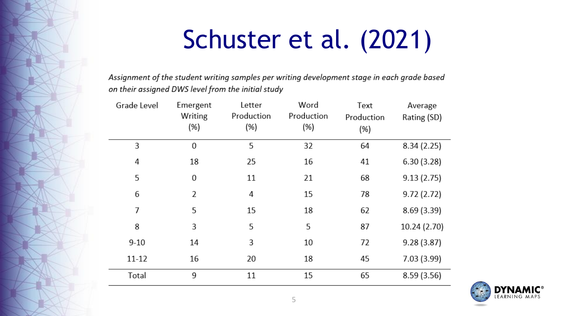### Schuster et al. (2021)

Assignment of the student writing samples per writing development stage in each grade based on their assigned DWS level from the initial study

| Grade Level | Emergent<br>Writing<br>(%) | Letter<br>Production<br>(%) | Word<br>Production<br>(%) | Text<br>Production<br>(%) | Average<br>Rating (SD) |
|-------------|----------------------------|-----------------------------|---------------------------|---------------------------|------------------------|
| 3           | $\overline{0}$             | 5                           | 32                        | 64                        | 8.34(2.25)             |
| 4           | 18                         | 25                          | 16                        | 41                        | 6.30(3.28)             |
| 5           | 0                          | 11                          | 21                        | 68                        | 9.13(2.75)             |
| 6           | 2                          | 4                           | 15                        | 78                        | 9.72(2.72)             |
| 7           | 5                          | 15                          | 18                        | 62                        | 8.69(3.39)             |
| 8           | 3                          | 5                           | 5                         | 87                        | 10.24 (2.70)           |
| $9 - 10$    | 14                         | 3                           | 10                        | 72                        | 9.28(3.87)             |
| $11 - 12$   | 16                         | 20                          | 18                        | 45                        | 7.03(3.99)             |
| Total       | 9                          | 11                          | 15                        | 65                        | 8.59(3.56)             |

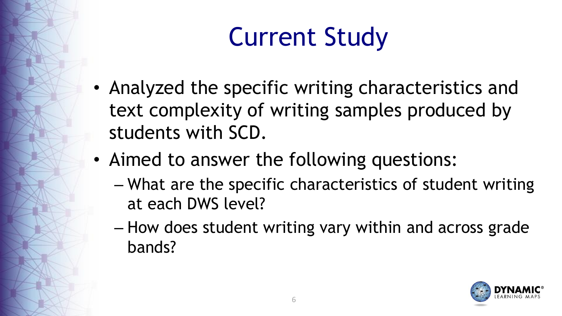# Current Study

- Analyzed the specific writing characteristics and text complexity of writing samples produced by students with SCD.
- Aimed to answer the following questions:
	- What are the specific characteristics of student writing at each DWS level?
	- How does student writing vary within and across grade bands?

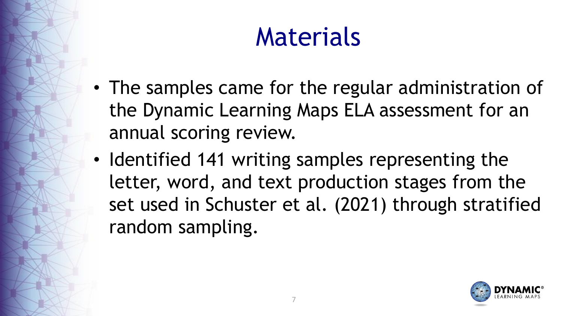### Materials

- The samples came for the regular administration of the Dynamic Learning Maps ELA assessment for an annual scoring review.
- Identified 141 writing samples representing the letter, word, and text production stages from the set used in Schuster et al. (2021) through stratified random sampling.

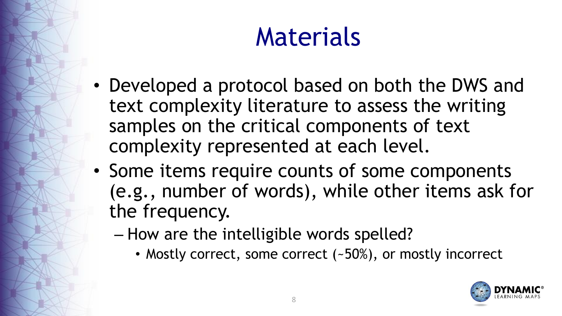### Materials

- Developed a protocol based on both the DWS and text complexity literature to assess the writing samples on the critical components of text complexity represented at each level.
- Some items require counts of some components (e.g., number of words), while other items ask for the frequency.
	- How are the intelligible words spelled?
		- Mostly correct, some correct (~50%), or mostly incorrect

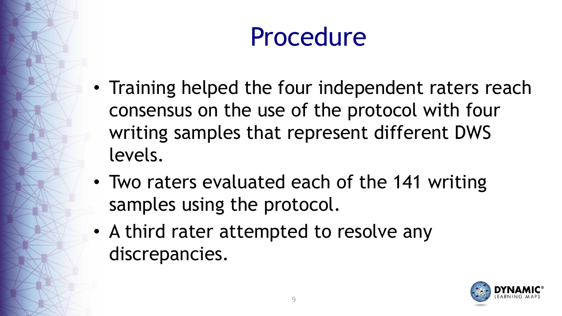### Procedure

- Training helped the four independent raters reach consensus on the use of the protocol with four writing samples that represent different DWS levels.
- Two raters evaluated each of the 141 writing samples using the protocol.
- A third rater attempted to resolve any discrepancies.

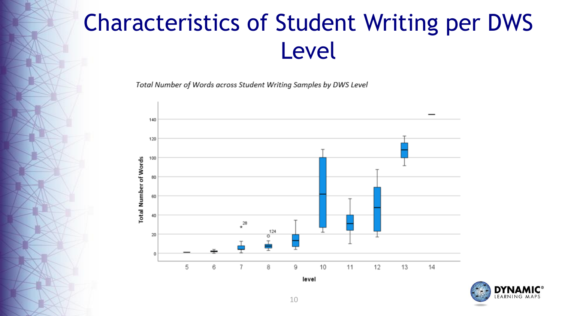Total Number of Words across Student Writing Samples by DWS Level



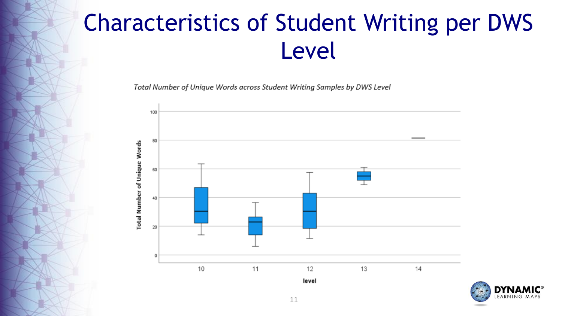Total Number of Unique Words across Student Writing Samples by DWS Level



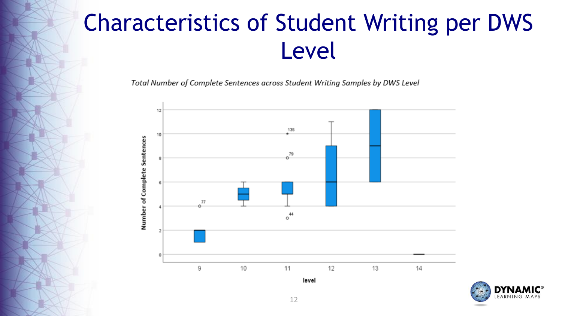Total Number of Complete Sentences across Student Writing Samples by DWS Level



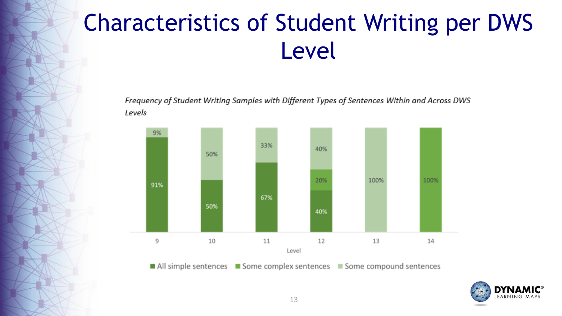Frequency of Student Writing Samples with Different Types of Sentences Within and Across DWS Levels



■ All simple sentences ■ Some complex sentences ■ Some compound sentences

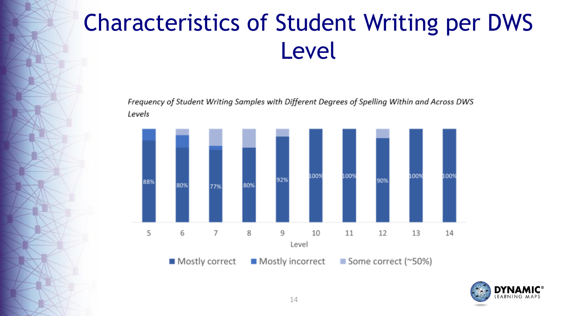Frequency of Student Writing Samples with Different Degrees of Spelling Within and Across DWS Levels



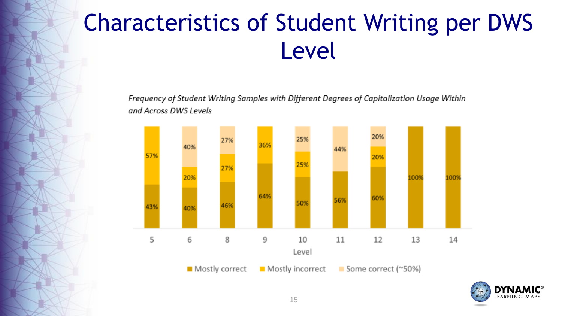Frequency of Student Writing Samples with Different Degrees of Capitalization Usage Within and Across DWS Levels



Mostly correct

Mostly incorrect

Some correct (~50%)

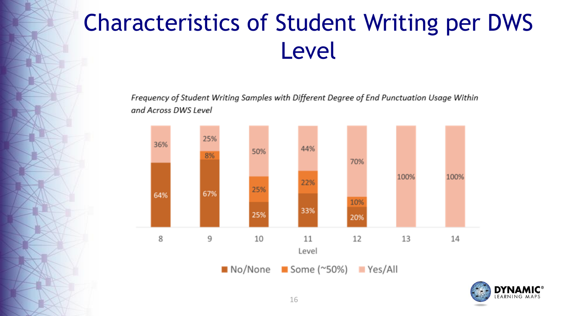Frequency of Student Writing Samples with Different Degree of End Punctuation Usage Within and Across DWS Level



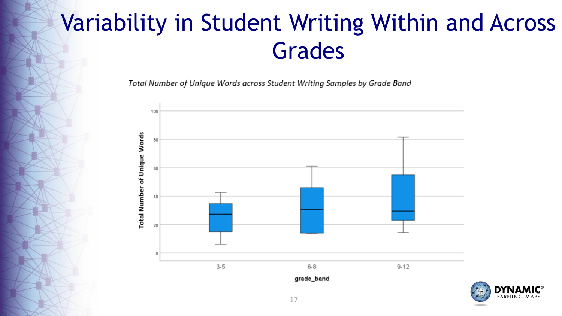#### Variability in Student Writing Within and Across Grades

Total Number of Unique Words across Student Writing Samples by Grade Band



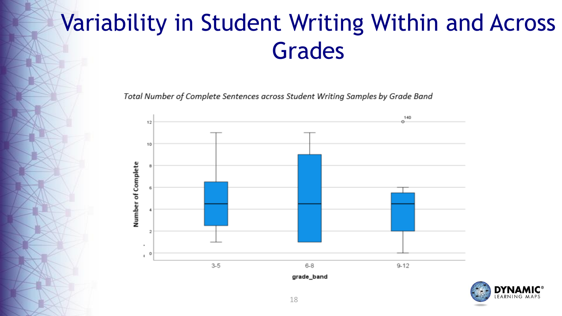#### Variability in Student Writing Within and Across Grades

Total Number of Complete Sentences across Student Writing Samples by Grade Band



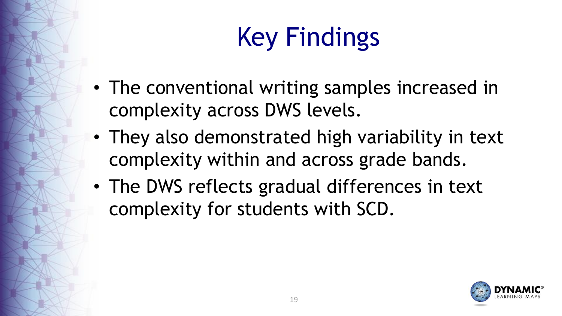# Key Findings

- The conventional writing samples increased in complexity across DWS levels.
- They also demonstrated high variability in text complexity within and across grade bands.
- The DWS reflects gradual differences in text complexity for students with SCD.

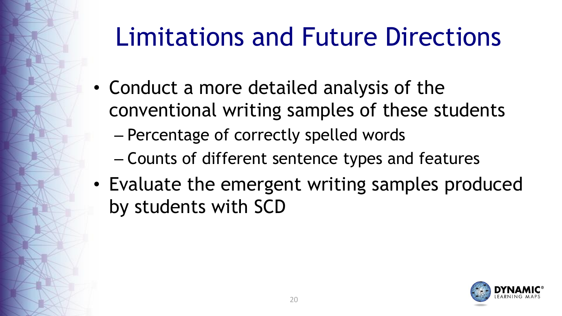### Limitations and Future Directions

- Conduct a more detailed analysis of the conventional writing samples of these students
	- Percentage of correctly spelled words
	- Counts of different sentence types and features
- Evaluate the emergent writing samples produced by students with SCD

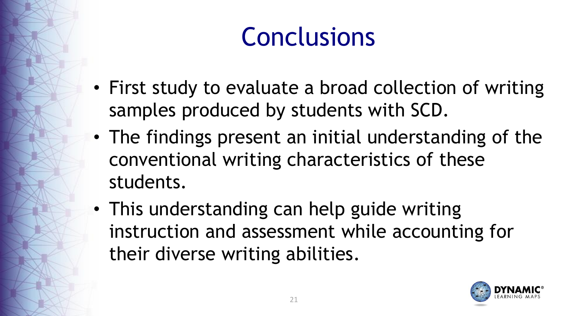### Conclusions

- First study to evaluate a broad collection of writing samples produced by students with SCD.
- The findings present an initial understanding of the conventional writing characteristics of these students.
- This understanding can help guide writing instruction and assessment while accounting for their diverse writing abilities.